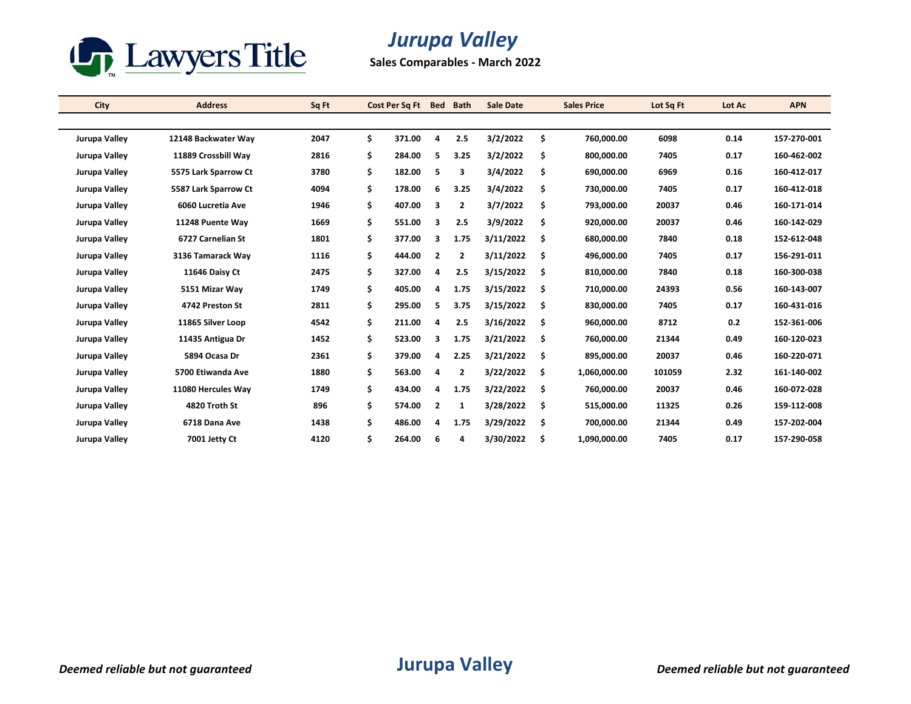

## *Jurupa Valley*

**Sales Comparables - March 2022**

| City                 | <b>Address</b>       | Sq Ft | Cost Per Sq Ft | <b>Bed</b>     | <b>Bath</b>    | <b>Sale Date</b> | <b>Sales Price</b> | Lot Sq Ft | Lot Ac | <b>APN</b>  |
|----------------------|----------------------|-------|----------------|----------------|----------------|------------------|--------------------|-----------|--------|-------------|
|                      |                      |       |                |                |                |                  |                    |           |        |             |
| <b>Jurupa Valley</b> | 12148 Backwater Way  | 2047  | \$<br>371.00   | 4              | 2.5            | 3/2/2022         | \$<br>760,000.00   | 6098      | 0.14   | 157-270-001 |
| Jurupa Valley        | 11889 Crossbill Way  | 2816  | \$<br>284.00   | 5.             | 3.25           | 3/2/2022         | \$<br>800,000.00   | 7405      | 0.17   | 160-462-002 |
| Jurupa Valley        | 5575 Lark Sparrow Ct | 3780  | \$<br>182.00   | 5              | 3              | 3/4/2022         | \$<br>690,000.00   | 6969      | 0.16   | 160-412-017 |
| Jurupa Valley        | 5587 Lark Sparrow Ct | 4094  | \$<br>178.00   | 6              | 3.25           | 3/4/2022         | \$<br>730,000.00   | 7405      | 0.17   | 160-412-018 |
| Jurupa Valley        | 6060 Lucretia Ave    | 1946  | \$<br>407.00   | 3              | $\overline{2}$ | 3/7/2022         | \$<br>793,000.00   | 20037     | 0.46   | 160-171-014 |
| Jurupa Valley        | 11248 Puente Way     | 1669  | \$<br>551.00   | 3              | 2.5            | 3/9/2022         | \$<br>920,000.00   | 20037     | 0.46   | 160-142-029 |
| Jurupa Valley        | 6727 Carnelian St    | 1801  | \$<br>377.00   | 3              | 1.75           | 3/11/2022        | \$<br>680,000.00   | 7840      | 0.18   | 152-612-048 |
| Jurupa Valley        | 3136 Tamarack Way    | 1116  | \$<br>444.00   | $\mathbf{2}$   | 2              | 3/11/2022        | \$<br>496,000.00   | 7405      | 0.17   | 156-291-011 |
| Jurupa Valley        | 11646 Daisy Ct       | 2475  | \$<br>327.00   | 4              | 2.5            | 3/15/2022        | \$<br>810,000.00   | 7840      | 0.18   | 160-300-038 |
| Jurupa Valley        | 5151 Mizar Way       | 1749  | \$<br>405.00   | 4              | 1.75           | 3/15/2022        | \$<br>710,000.00   | 24393     | 0.56   | 160-143-007 |
| Jurupa Valley        | 4742 Preston St      | 2811  | \$<br>295.00   | 5.             | 3.75           | 3/15/2022        | \$<br>830.000.00   | 7405      | 0.17   | 160-431-016 |
| Jurupa Valley        | 11865 Silver Loop    | 4542  | \$<br>211.00   | 4              | 2.5            | 3/16/2022        | \$<br>960,000.00   | 8712      | 0.2    | 152-361-006 |
| Jurupa Valley        | 11435 Antigua Dr     | 1452  | \$<br>523.00   | 3              | 1.75           | 3/21/2022        | \$<br>760,000.00   | 21344     | 0.49   | 160-120-023 |
| Jurupa Valley        | 5894 Ocasa Dr        | 2361  | \$<br>379.00   | 4              | 2.25           | 3/21/2022        | \$<br>895,000.00   | 20037     | 0.46   | 160-220-071 |
| Jurupa Valley        | 5700 Etiwanda Ave    | 1880  | \$<br>563.00   | 4              | $\overline{2}$ | 3/22/2022        | \$<br>1,060,000.00 | 101059    | 2.32   | 161-140-002 |
| Jurupa Valley        | 11080 Hercules Way   | 1749  | \$<br>434.00   | 4              | 1.75           | 3/22/2022        | \$<br>760,000.00   | 20037     | 0.46   | 160-072-028 |
| Jurupa Valley        | 4820 Troth St        | 896   | \$<br>574.00   | $\overline{2}$ | 1              | 3/28/2022        | \$<br>515,000.00   | 11325     | 0.26   | 159-112-008 |
| Jurupa Valley        | 6718 Dana Ave        | 1438  | \$<br>486.00   | 4              | 1.75           | 3/29/2022        | \$<br>700,000.00   | 21344     | 0.49   | 157-202-004 |
| Jurupa Valley        | 7001 Jetty Ct        | 4120  | \$<br>264.00   | 6              | 4              | 3/30/2022        | \$<br>1,090,000.00 | 7405      | 0.17   | 157-290-058 |